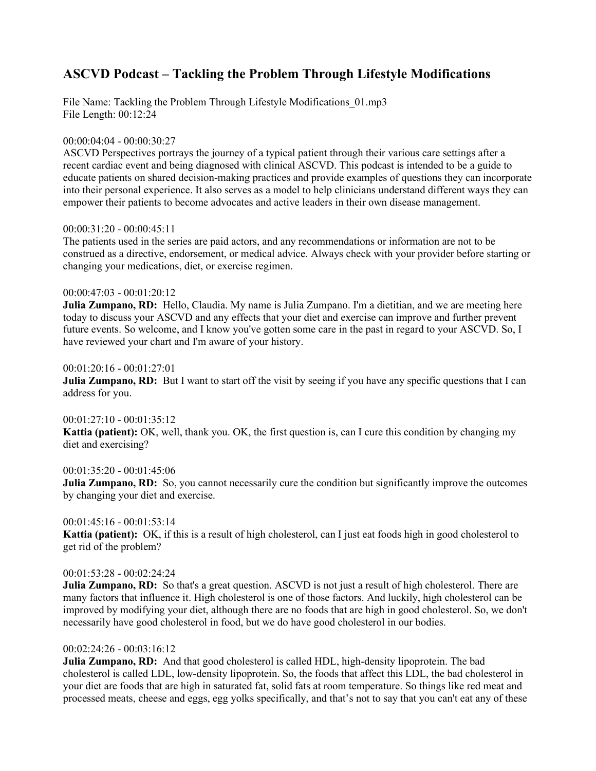# **ASCVD Podcast – Tackling the Problem Through Lifestyle Modifications**

File Name: Tackling the Problem Through Lifestyle Modifications  $01mp3$ File Length: 00:12:24

## 00:00:04:04 - 00:00:30:27

ASCVD Perspectives portrays the journey of a typical patient through their various care settings after a recent cardiac event and being diagnosed with clinical ASCVD. This podcast is intended to be a guide to educate patients on shared decision-making practices and provide examples of questions they can incorporate into their personal experience. It also serves as a model to help clinicians understand different ways they can empower their patients to become advocates and active leaders in their own disease management.

#### 00:00:31:20 - 00:00:45:11

The patients used in the series are paid actors, and any recommendations or information are not to be construed as a directive, endorsement, or medical advice. Always check with your provider before starting or changing your medications, diet, or exercise regimen.

#### 00:00:47:03 - 00:01:20:12

**Julia Zumpano, RD:** Hello, Claudia. My name is Julia Zumpano. I'm a dietitian, and we are meeting here today to discuss your ASCVD and any effects that your diet and exercise can improve and further prevent future events. So welcome, and I know you've gotten some care in the past in regard to your ASCVD. So, I have reviewed your chart and I'm aware of your history.

#### 00:01:20:16 - 00:01:27:01

**Julia Zumpano, RD:** But I want to start off the visit by seeing if you have any specific questions that I can address for you.

#### $00:01:27:10 - 00:01:35:12$

**Kattia (patient):** OK, well, thank you. OK, the first question is, can I cure this condition by changing my diet and exercising?

## 00:01:35:20 - 00:01:45:06

**Julia Zumpano, RD:** So, you cannot necessarily cure the condition but significantly improve the outcomes by changing your diet and exercise.

## $00:01:45:16 - 00:01:53:14$

**Kattia (patient):** OK, if this is a result of high cholesterol, can I just eat foods high in good cholesterol to get rid of the problem?

## 00:01:53:28 - 00:02:24:24

**Julia Zumpano, RD:** So that's a great question. ASCVD is not just a result of high cholesterol. There are many factors that influence it. High cholesterol is one of those factors. And luckily, high cholesterol can be improved by modifying your diet, although there are no foods that are high in good cholesterol. So, we don't necessarily have good cholesterol in food, but we do have good cholesterol in our bodies.

## 00:02:24:26 - 00:03:16:12

**Julia Zumpano, RD:** And that good cholesterol is called HDL, high-density lipoprotein. The bad cholesterol is called LDL, low-density lipoprotein. So, the foods that affect this LDL, the bad cholesterol in your diet are foods that are high in saturated fat, solid fats at room temperature. So things like red meat and processed meats, cheese and eggs, egg yolks specifically, and that's not to say that you can't eat any of these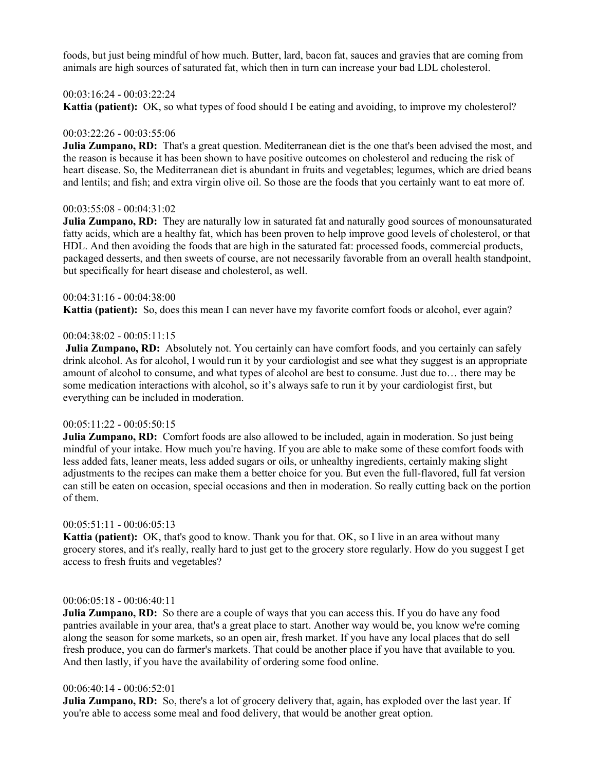foods, but just being mindful of how much. Butter, lard, bacon fat, sauces and gravies that are coming from animals are high sources of saturated fat, which then in turn can increase your bad LDL cholesterol.

## 00:03:16:24 - 00:03:22:24

**Kattia (patient):** OK, so what types of food should I be eating and avoiding, to improve my cholesterol?

#### 00:03:22:26 - 00:03:55:06

**Julia Zumpano, RD:** That's a great question. Mediterranean diet is the one that's been advised the most, and the reason is because it has been shown to have positive outcomes on cholesterol and reducing the risk of heart disease. So, the Mediterranean diet is abundant in fruits and vegetables; legumes, which are dried beans and lentils; and fish; and extra virgin olive oil. So those are the foods that you certainly want to eat more of.

## 00:03:55:08 - 00:04:31:02

**Julia Zumpano, RD:** They are naturally low in saturated fat and naturally good sources of monounsaturated fatty acids, which are a healthy fat, which has been proven to help improve good levels of cholesterol, or that HDL. And then avoiding the foods that are high in the saturated fat: processed foods, commercial products, packaged desserts, and then sweets of course, are not necessarily favorable from an overall health standpoint, but specifically for heart disease and cholesterol, as well.

## 00:04:31:16 - 00:04:38:00

**Kattia (patient):** So, does this mean I can never have my favorite comfort foods or alcohol, ever again?

#### 00:04:38:02 - 00:05:11:15

**Julia Zumpano, RD:** Absolutely not. You certainly can have comfort foods, and you certainly can safely drink alcohol. As for alcohol, I would run it by your cardiologist and see what they suggest is an appropriate amount of alcohol to consume, and what types of alcohol are best to consume. Just due to… there may be some medication interactions with alcohol, so it's always safe to run it by your cardiologist first, but everything can be included in moderation.

#### 00:05:11:22 - 00:05:50:15

**Julia Zumpano, RD:** Comfort foods are also allowed to be included, again in moderation. So just being mindful of your intake. How much you're having. If you are able to make some of these comfort foods with less added fats, leaner meats, less added sugars or oils, or unhealthy ingredients, certainly making slight adjustments to the recipes can make them a better choice for you. But even the full-flavored, full fat version can still be eaten on occasion, special occasions and then in moderation. So really cutting back on the portion of them.

## 00:05:51:11 - 00:06:05:13

**Kattia (patient):** OK, that's good to know. Thank you for that. OK, so I live in an area without many grocery stores, and it's really, really hard to just get to the grocery store regularly. How do you suggest I get access to fresh fruits and vegetables?

#### 00:06:05:18 - 00:06:40:11

**Julia Zumpano, RD:** So there are a couple of ways that you can access this. If you do have any food pantries available in your area, that's a great place to start. Another way would be, you know we're coming along the season for some markets, so an open air, fresh market. If you have any local places that do sell fresh produce, you can do farmer's markets. That could be another place if you have that available to you. And then lastly, if you have the availability of ordering some food online.

#### 00:06:40:14 - 00:06:52:01

**Julia Zumpano, RD:** So, there's a lot of grocery delivery that, again, has exploded over the last year. If you're able to access some meal and food delivery, that would be another great option.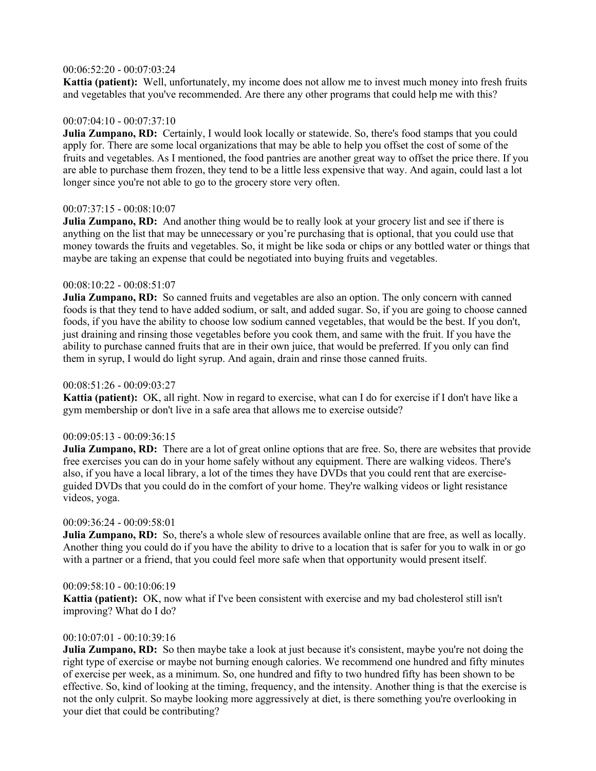# 00:06:52:20 - 00:07:03:24

**Kattia (patient):** Well, unfortunately, my income does not allow me to invest much money into fresh fruits and vegetables that you've recommended. Are there any other programs that could help me with this?

# $00:07:04:10 - 00:07:37:10$

**Julia Zumpano, RD:** Certainly, I would look locally or statewide. So, there's food stamps that you could apply for. There are some local organizations that may be able to help you offset the cost of some of the fruits and vegetables. As I mentioned, the food pantries are another great way to offset the price there. If you are able to purchase them frozen, they tend to be a little less expensive that way. And again, could last a lot longer since you're not able to go to the grocery store very often.

# 00:07:37:15 - 00:08:10:07

**Julia Zumpano, RD:** And another thing would be to really look at your grocery list and see if there is anything on the list that may be unnecessary or you're purchasing that is optional, that you could use that money towards the fruits and vegetables. So, it might be like soda or chips or any bottled water or things that maybe are taking an expense that could be negotiated into buying fruits and vegetables.

# 00:08:10:22 - 00:08:51:07

**Julia Zumpano, RD:** So canned fruits and vegetables are also an option. The only concern with canned foods is that they tend to have added sodium, or salt, and added sugar. So, if you are going to choose canned foods, if you have the ability to choose low sodium canned vegetables, that would be the best. If you don't, just draining and rinsing those vegetables before you cook them, and same with the fruit. If you have the ability to purchase canned fruits that are in their own juice, that would be preferred. If you only can find them in syrup, I would do light syrup. And again, drain and rinse those canned fruits.

# 00:08:51:26 - 00:09:03:27

**Kattia (patient):** OK, all right. Now in regard to exercise, what can I do for exercise if I don't have like a gym membership or don't live in a safe area that allows me to exercise outside?

# 00:09:05:13 - 00:09:36:15

**Julia Zumpano, RD:** There are a lot of great online options that are free. So, there are websites that provide free exercises you can do in your home safely without any equipment. There are walking videos. There's also, if you have a local library, a lot of the times they have DVDs that you could rent that are exerciseguided DVDs that you could do in the comfort of your home. They're walking videos or light resistance videos, yoga.

# 00:09:36:24 - 00:09:58:01

**Julia Zumpano, RD:** So, there's a whole slew of resources available online that are free, as well as locally. Another thing you could do if you have the ability to drive to a location that is safer for you to walk in or go with a partner or a friend, that you could feel more safe when that opportunity would present itself.

## 00:09:58:10 - 00:10:06:19

**Kattia (patient):** OK, now what if I've been consistent with exercise and my bad cholesterol still isn't improving? What do I do?

# 00:10:07:01 - 00:10:39:16

**Julia Zumpano, RD:** So then maybe take a look at just because it's consistent, maybe you're not doing the right type of exercise or maybe not burning enough calories. We recommend one hundred and fifty minutes of exercise per week, as a minimum. So, one hundred and fifty to two hundred fifty has been shown to be effective. So, kind of looking at the timing, frequency, and the intensity. Another thing is that the exercise is not the only culprit. So maybe looking more aggressively at diet, is there something you're overlooking in your diet that could be contributing?